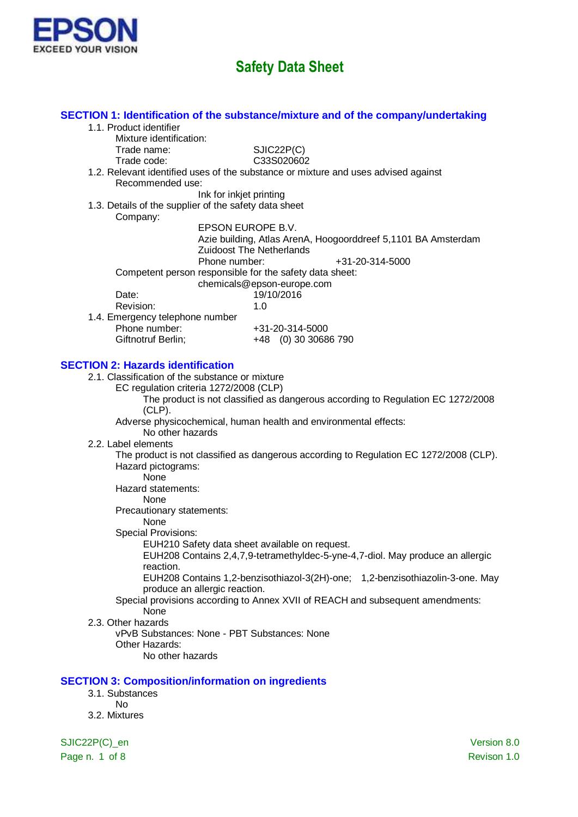

|                                                          | SECTION 1: Identification of the substance/mixture and of the company/undertaking      |
|----------------------------------------------------------|----------------------------------------------------------------------------------------|
| 1.1. Product identifier                                  |                                                                                        |
| Mixture identification:                                  |                                                                                        |
| Trade name:                                              | SJIC22P(C)                                                                             |
| Trade code:                                              | C33S020602                                                                             |
|                                                          | 1.2. Relevant identified uses of the substance or mixture and uses advised against     |
| Recommended use:                                         |                                                                                        |
|                                                          | Ink for inkjet printing                                                                |
| 1.3. Details of the supplier of the safety data sheet    |                                                                                        |
| Company:                                                 |                                                                                        |
|                                                          | EPSON EUROPE B.V.                                                                      |
|                                                          | Azie building, Atlas ArenA, Hoogoorddreef 5,1101 BA Amsterdam                          |
|                                                          | <b>Zuidoost The Netherlands</b>                                                        |
|                                                          | Phone number:<br>+31-20-314-5000                                                       |
|                                                          | Competent person responsible for the safety data sheet:                                |
|                                                          | chemicals@epson-europe.com                                                             |
| Date:                                                    | 19/10/2016                                                                             |
| Revision:                                                | 1.0                                                                                    |
| 1.4. Emergency telephone number                          |                                                                                        |
| Phone number:                                            | +31-20-314-5000                                                                        |
| Giftnotruf Berlin;                                       | +48 (0) 30 30686 790                                                                   |
|                                                          |                                                                                        |
| <b>SECTION 2: Hazards identification</b>                 |                                                                                        |
| 2.1. Classification of the substance or mixture          |                                                                                        |
|                                                          | EC regulation criteria 1272/2008 (CLP)                                                 |
|                                                          | The product is not classified as dangerous according to Regulation EC 1272/2008        |
| $(CLP)$ .                                                |                                                                                        |
|                                                          | Adverse physicochemical, human health and environmental effects:                       |
| No other hazards                                         |                                                                                        |
| 2.2. Label elements                                      |                                                                                        |
|                                                          | The product is not classified as dangerous according to Regulation EC 1272/2008 (CLP). |
| Hazard pictograms:                                       |                                                                                        |
| None                                                     |                                                                                        |
| Hazard statements:                                       |                                                                                        |
| None                                                     |                                                                                        |
| Precautionary statements:                                |                                                                                        |
| None                                                     |                                                                                        |
| <b>Special Provisions:</b>                               |                                                                                        |
|                                                          | EUH210 Safety data sheet available on request.                                         |
|                                                          | EUH208 Contains 2,4,7,9-tetramethyldec-5-yne-4,7-diol. May produce an allergic         |
| reaction.                                                |                                                                                        |
|                                                          | EUH208 Contains 1,2-benzisothiazol-3(2H)-one; 1,2-benzisothiazolin-3-one. May          |
|                                                          | produce an allergic reaction.                                                          |
|                                                          | Special provisions according to Annex XVII of REACH and subsequent amendments:         |
| None                                                     |                                                                                        |
| 2.3. Other hazards                                       |                                                                                        |
|                                                          | vPvB Substances: None - PBT Substances: None                                           |
| Other Hazards:                                           |                                                                                        |
| No other hazards                                         |                                                                                        |
|                                                          |                                                                                        |
| <b>SECTION 3: Composition/information on ingredients</b> |                                                                                        |
| 3.1. Substances                                          |                                                                                        |
| <b>No</b>                                                |                                                                                        |
| 3.2. Mixtures                                            |                                                                                        |
|                                                          |                                                                                        |
| SJIC22P(C)_en                                            | Version 8.0                                                                            |

Page n. 1 of 8  $\,$  Page n. 1 of 8  $\,$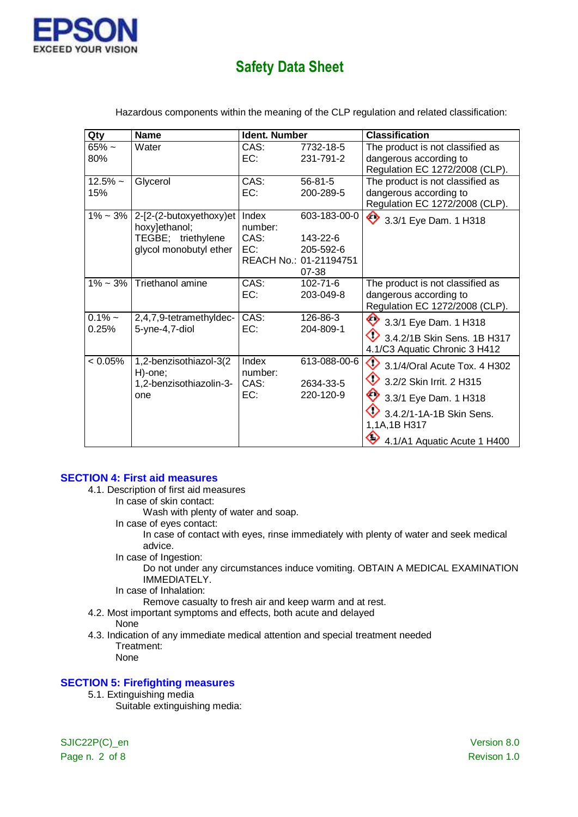

| Qty                | <b>Name</b>                                                                              | Ident. Number                   |                                                                          | <b>Classification</b>                                                                                                                                                                     |
|--------------------|------------------------------------------------------------------------------------------|---------------------------------|--------------------------------------------------------------------------|-------------------------------------------------------------------------------------------------------------------------------------------------------------------------------------------|
| $65%$ ~<br>80%     | Water                                                                                    | CAS:<br>EC:                     | 7732-18-5<br>231-791-2                                                   | The product is not classified as<br>dangerous according to<br>Regulation EC 1272/2008 (CLP).                                                                                              |
| $12.5%$ ~<br>15%   | Glycerol                                                                                 | CAS:<br>EC:                     | $56 - 81 - 5$<br>200-289-5                                               | The product is not classified as<br>dangerous according to<br>Regulation EC 1272/2008 (CLP).                                                                                              |
| $1\% - 3\%$        | 2-[2-(2-butoxyethoxy)et<br>hoxy]ethanol;<br>TEGBE; triethylene<br>glycol monobutyl ether | Index<br>number:<br>CAS:<br>EC: | 603-183-00-0<br>143-22-6<br>205-592-6<br>REACH No.: 01-21194751<br>07-38 | 3.3/1 Eye Dam. 1 H318                                                                                                                                                                     |
|                    | $1\%$ ~ 3% Triethanol amine                                                              | CAS:<br>EC:                     | $102 - 71 - 6$<br>203-049-8                                              | The product is not classified as<br>dangerous according to<br>Regulation EC 1272/2008 (CLP).                                                                                              |
| $0.1\%$ ~<br>0.25% | 2,4,7,9-tetramethyldec-<br>5-yne-4,7-diol                                                | CAS:<br>EC:                     | 126-86-3<br>204-809-1                                                    | 3.3/1 Eye Dam. 1 H318<br>$\bigcirc$ 3.4.2/1B Skin Sens. 1B H317<br>4.1/C3 Aquatic Chronic 3 H412                                                                                          |
| < 0.05%            | 1,2-benzisothiazol-3(2<br>H)-one;<br>1,2-benzisothiazolin-3-<br>one                      | Index<br>number:<br>CAS:<br>EC: | 613-088-00-6<br>2634-33-5<br>220-120-9                                   | $\bigcirc$ 3.1/4/Oral Acute Tox. 4 H302<br>♦<br>3.2/2 Skin Irrit. 2 H315<br>$\bigotimes$ 3.3/1 Eye Dam. 1 H318<br>3.4.2/1-1A-1B Skin Sens.<br>1,1A,1B H317<br>4.1/A1 Aquatic Acute 1 H400 |

Hazardous components within the meaning of the CLP regulation and related classification:

#### **SECTION 4: First aid measures**

- 4.1. Description of first aid measures
	- In case of skin contact:
		- Wash with plenty of water and soap.
	- In case of eyes contact:

In case of contact with eyes, rinse immediately with plenty of water and seek medical advice.

In case of Ingestion:

Do not under any circumstances induce vomiting. OBTAIN A MEDICAL EXAMINATION IMMEDIATELY.

In case of Inhalation:

Remove casualty to fresh air and keep warm and at rest.

- 4.2. Most important symptoms and effects, both acute and delayed
- None
- 4.3. Indication of any immediate medical attention and special treatment needed Treatment: None

#### **SECTION 5: Firefighting measures**

5.1. Extinguishing media

Suitable extinguishing media:

SJIC22P(C)\_en Version 8.0 Page n. 2 of 8 Revison 1.0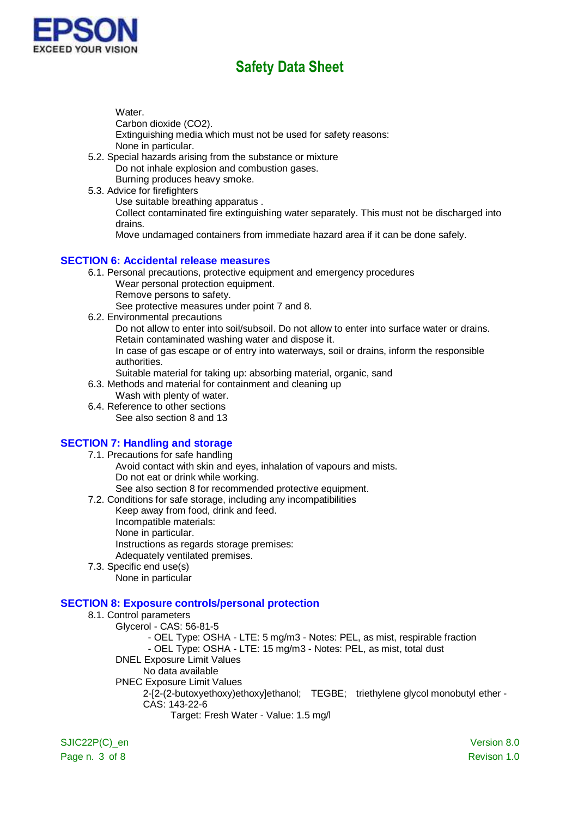

Water.

Carbon dioxide (CO2).

Extinguishing media which must not be used for safety reasons: None in particular.

- 5.2. Special hazards arising from the substance or mixture Do not inhale explosion and combustion gases. Burning produces heavy smoke.
- 5.3. Advice for firefighters

Use suitable breathing apparatus .

Collect contaminated fire extinguishing water separately. This must not be discharged into drains.

Move undamaged containers from immediate hazard area if it can be done safely.

#### **SECTION 6: Accidental release measures**

- 6.1. Personal precautions, protective equipment and emergency procedures
	- Wear personal protection equipment.
	- Remove persons to safety.

See protective measures under point 7 and 8.

6.2. Environmental precautions

Do not allow to enter into soil/subsoil. Do not allow to enter into surface water or drains. Retain contaminated washing water and dispose it.

In case of gas escape or of entry into waterways, soil or drains, inform the responsible authorities.

Suitable material for taking up: absorbing material, organic, sand

- 6.3. Methods and material for containment and cleaning up
	- Wash with plenty of water.
- 6.4. Reference to other sections See also section 8 and 13

### **SECTION 7: Handling and storage**

- 7.1. Precautions for safe handling Avoid contact with skin and eyes, inhalation of vapours and mists. Do not eat or drink while working. See also section 8 for recommended protective equipment.
- 7.2. Conditions for safe storage, including any incompatibilities
	- Keep away from food, drink and feed.
	- Incompatible materials:
	- None in particular.

Instructions as regards storage premises:

Adequately ventilated premises.

7.3. Specific end use(s) None in particular

### **SECTION 8: Exposure controls/personal protection**

8.1. Control parameters Glycerol - CAS: 56-81-5 - OEL Type: OSHA - LTE: 5 mg/m3 - Notes: PEL, as mist, respirable fraction - OEL Type: OSHA - LTE: 15 mg/m3 - Notes: PEL, as mist, total dust DNEL Exposure Limit Values No data available PNEC Exposure Limit Values 2-[2-(2-butoxyethoxy)ethoxy]ethanol; TEGBE; triethylene glycol monobutyl ether - CAS: 143-22-6 Target: Fresh Water - Value: 1.5 mg/l

SJIC22P(C) en Version 8.0 Page n. 3 of 8 Revison 1.0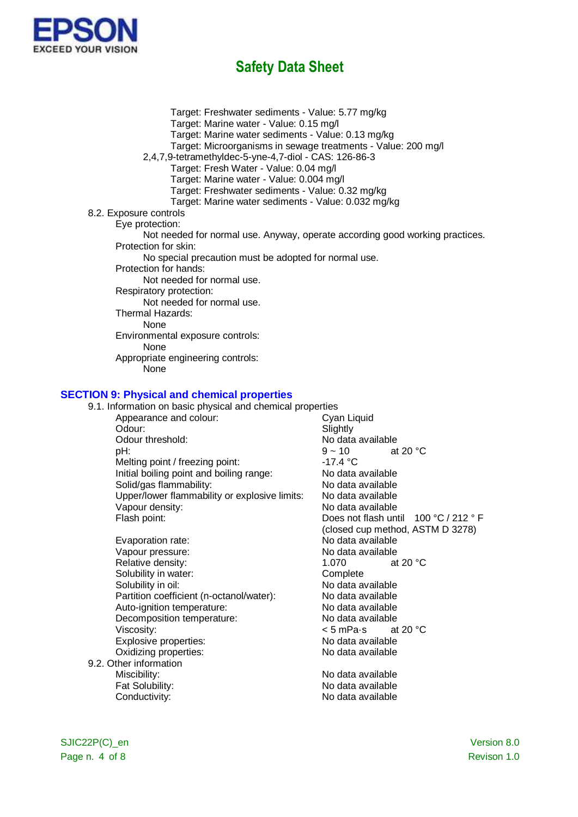

Target: Freshwater sediments - Value: 5.77 mg/kg Target: Marine water - Value: 0.15 mg/l Target: Marine water sediments - Value: 0.13 mg/kg Target: Microorganisms in sewage treatments - Value: 200 mg/l 2,4,7,9-tetramethyldec-5-yne-4,7-diol - CAS: 126-86-3 Target: Fresh Water - Value: 0.04 mg/l Target: Marine water - Value: 0.004 mg/l Target: Freshwater sediments - Value: 0.32 mg/kg Target: Marine water sediments - Value: 0.032 mg/kg 8.2. Exposure controls Eye protection: Not needed for normal use. Anyway, operate according good working practices. Protection for skin: No special precaution must be adopted for normal use. Protection for hands: Not needed for normal use. Respiratory protection: Not needed for normal use. Thermal Hazards: None Environmental exposure controls: None Appropriate engineering controls: None

#### **SECTION 9: Physical and chemical properties**

| 9.1. Information on basic physical and chemical properties |                                       |
|------------------------------------------------------------|---------------------------------------|
| Appearance and colour:                                     | Cyan Liquid                           |
| Odour:                                                     | Slightly                              |
| Odour threshold:                                           | No data available                     |
| pH:                                                        | $9 - 10$<br>at 20 $\degree$ C         |
| Melting point / freezing point:                            | $-17.4 °C$                            |
| Initial boiling point and boiling range:                   | No data available                     |
| Solid/gas flammability:                                    | No data available                     |
| Upper/lower flammability or explosive limits:              | No data available                     |
| Vapour density:                                            | No data available                     |
| Flash point:                                               | Does not flash until 100 °C / 212 ° F |
|                                                            | (closed cup method, ASTM D 3278)      |
| Evaporation rate:                                          | No data available                     |
| Vapour pressure:                                           | No data available                     |
| Relative density:                                          | 1.070<br>at 20 $\degree$ C            |
| Solubility in water:                                       | Complete                              |
| Solubility in oil:                                         | No data available                     |
| Partition coefficient (n-octanol/water):                   | No data available                     |
| Auto-ignition temperature:                                 | No data available                     |
| Decomposition temperature:                                 | No data available                     |
| Viscosity:                                                 | < 5 mPa∙s<br>at 20 $\degree$ C        |
| Explosive properties:                                      | No data available                     |
| Oxidizing properties:                                      | No data available                     |
| 9.2. Other information                                     |                                       |
| Miscibility:                                               | No data available                     |
| Fat Solubility:                                            | No data available                     |
| Conductivity:                                              | No data available                     |
|                                                            |                                       |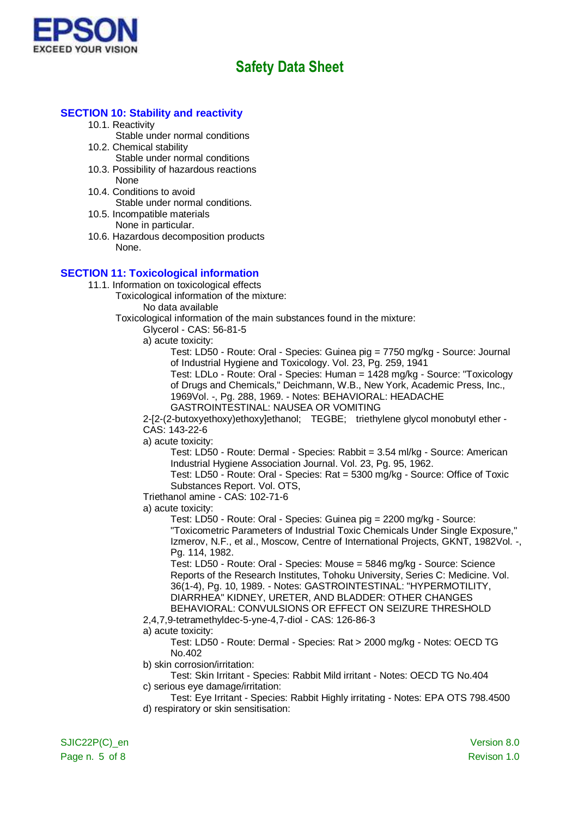

#### **SECTION 10: Stability and reactivity**

10.1. Reactivity

Stable under normal conditions

- 10.2. Chemical stability
	- Stable under normal conditions
- 10.3. Possibility of hazardous reactions None
- 10.4. Conditions to avoid Stable under normal conditions.
- 10.5. Incompatible materials None in particular.
- 10.6. Hazardous decomposition products None.

#### **SECTION 11: Toxicological information**

11.1. Information on toxicological effects

Toxicological information of the mixture:

No data available

Toxicological information of the main substances found in the mixture:

Glycerol - CAS: 56-81-5

a) acute toxicity:

Test: LD50 - Route: Oral - Species: Guinea pig = 7750 mg/kg - Source: Journal of Industrial Hygiene and Toxicology. Vol. 23, Pg. 259, 1941

Test: LDLo - Route: Oral - Species: Human = 1428 mg/kg - Source: "Toxicology of Drugs and Chemicals," Deichmann, W.B., New York, Academic Press, Inc., 1969Vol. -, Pg. 288, 1969. - Notes: BEHAVIORAL: HEADACHE GASTROINTESTINAL: NAUSEA OR VOMITING

2-[2-(2-butoxyethoxy)ethoxy]ethanol; TEGBE; triethylene glycol monobutyl ether - CAS: 143-22-6

a) acute toxicity:

Test: LD50 - Route: Dermal - Species: Rabbit = 3.54 ml/kg - Source: American Industrial Hygiene Association Journal. Vol. 23, Pg. 95, 1962.

Test: LD50 - Route: Oral - Species: Rat = 5300 mg/kg - Source: Office of Toxic Substances Report. Vol. OTS,

Triethanol amine - CAS: 102-71-6

a) acute toxicity:

Test: LD50 - Route: Oral - Species: Guinea pig = 2200 mg/kg - Source: "Toxicometric Parameters of Industrial Toxic Chemicals Under Single Exposure," Izmerov, N.F., et al., Moscow, Centre of International Projects, GKNT, 1982Vol. -, Pg. 114, 1982.

Test: LD50 - Route: Oral - Species: Mouse = 5846 mg/kg - Source: Science Reports of the Research Institutes, Tohoku University, Series C: Medicine. Vol. 36(1-4), Pg. 10, 1989. - Notes: GASTROINTESTINAL: "HYPERMOTILITY, DIARRHEA" KIDNEY, URETER, AND BLADDER: OTHER CHANGES BEHAVIORAL: CONVULSIONS OR EFFECT ON SEIZURE THRESHOLD

2,4,7,9-tetramethyldec-5-yne-4,7-diol - CAS: 126-86-3

a) acute toxicity:

Test: LD50 - Route: Dermal - Species: Rat > 2000 mg/kg - Notes: OECD TG No.402

b) skin corrosion/irritation:

- Test: Skin Irritant Species: Rabbit Mild irritant Notes: OECD TG No.404 c) serious eye damage/irritation:
- Test: Eye Irritant Species: Rabbit Highly irritating Notes: EPA OTS 798.4500 d) respiratory or skin sensitisation: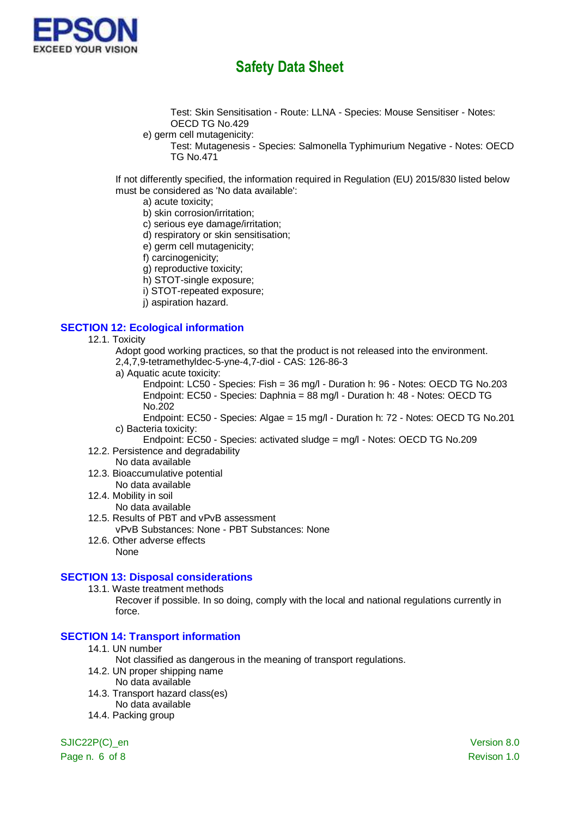

Test: Skin Sensitisation - Route: LLNA - Species: Mouse Sensitiser - Notes: OECD TG No.429

- e) germ cell mutagenicity:
	- Test: Mutagenesis Species: Salmonella Typhimurium Negative Notes: OECD TG No.471

If not differently specified, the information required in Regulation (EU) 2015/830 listed below must be considered as 'No data available':

- a) acute toxicity;
- b) skin corrosion/irritation;
- c) serious eye damage/irritation;
- d) respiratory or skin sensitisation;
- e) germ cell mutagenicity;
- f) carcinogenicity;
- g) reproductive toxicity;
- h) STOT-single exposure;
- i) STOT-repeated exposure;
- j) aspiration hazard.

#### **SECTION 12: Ecological information**

- 12.1. Toxicity
	- Adopt good working practices, so that the product is not released into the environment.
	- 2,4,7,9-tetramethyldec-5-yne-4,7-diol CAS: 126-86-3
	- a) Aquatic acute toxicity:

Endpoint: LC50 - Species: Fish = 36 mg/l - Duration h: 96 - Notes: OECD TG No.203 Endpoint: EC50 - Species: Daphnia = 88 mg/l - Duration h: 48 - Notes: OECD TG No.202

Endpoint: EC50 - Species: Algae = 15 mg/l - Duration h: 72 - Notes: OECD TG No.201 c) Bacteria toxicity:

- Endpoint: EC50 Species: activated sludge = mg/l Notes: OECD TG No.209 12.2. Persistence and degradability
- No data available
- 12.3. Bioaccumulative potential
- No data available
- 12.4. Mobility in soil
- No data available
- 12.5. Results of PBT and vPvB assessment vPvB Substances: None - PBT Substances: None
- 12.6. Other adverse effects None

#### **SECTION 13: Disposal considerations**

13.1. Waste treatment methods

Recover if possible. In so doing, comply with the local and national regulations currently in force.

### **SECTION 14: Transport information**

- 14.1. UN number
	- Not classified as dangerous in the meaning of transport regulations.
- 14.2. UN proper shipping name
	- No data available
- 14.3. Transport hazard class(es)
	- No data available
- 14.4. Packing group

SJIC22P(C) en Version 8.0

Page n. 6 of 8 Revison 1.0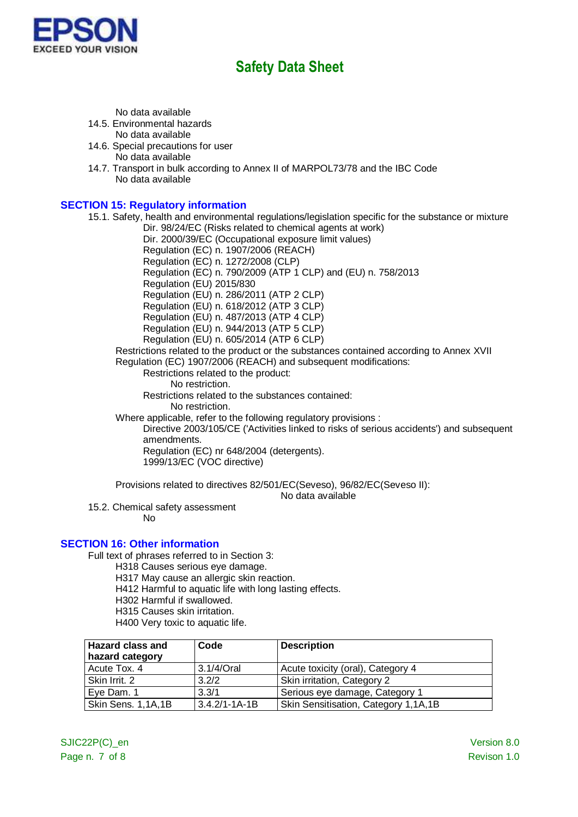

No data available

14.5. Environmental hazards

No data available

- 14.6. Special precautions for user No data available
- 14.7. Transport in bulk according to Annex II of MARPOL73/78 and the IBC Code No data available

### **SECTION 15: Regulatory information**

15.1. Safety, health and environmental regulations/legislation specific for the substance or mixture

Dir. 98/24/EC (Risks related to chemical agents at work)

Dir. 2000/39/EC (Occupational exposure limit values)

Regulation (EC) n. 1907/2006 (REACH)

Regulation (EC) n. 1272/2008 (CLP) Regulation (EC) n. 790/2009 (ATP 1 CLP) and (EU) n. 758/2013

Regulation (EU) 2015/830

Regulation (EU) n. 286/2011 (ATP 2 CLP)

Regulation (EU) n. 618/2012 (ATP 3 CLP)

Regulation (EU) n. 487/2013 (ATP 4 CLP)

Regulation (EU) n. 944/2013 (ATP 5 CLP)

Regulation (EU) n. 605/2014 (ATP 6 CLP)

Restrictions related to the product or the substances contained according to Annex XVII Regulation (EC) 1907/2006 (REACH) and subsequent modifications:

Restrictions related to the product:

No restriction.

Restrictions related to the substances contained:

No restriction.

Where applicable, refer to the following regulatory provisions :

Directive 2003/105/CE ('Activities linked to risks of serious accidents') and subsequent amendments.

Regulation (EC) nr 648/2004 (detergents). 1999/13/EC (VOC directive)

Provisions related to directives 82/501/EC(Seveso), 96/82/EC(Seveso II):

No data available

15.2. Chemical safety assessment

No

### **SECTION 16: Other information**

Full text of phrases referred to in Section 3:

- H318 Causes serious eye damage.
- H317 May cause an allergic skin reaction.
- H412 Harmful to aquatic life with long lasting effects.
- H302 Harmful if swallowed.
- H315 Causes skin irritation.
- H400 Very toxic to aquatic life.

| <b>Hazard class and</b><br>hazard category | Code                | <b>Description</b>                   |
|--------------------------------------------|---------------------|--------------------------------------|
| Acute Tox. 4                               | 3.1/4/Oral          | Acute toxicity (oral), Category 4    |
| Skin Irrit. 2                              | 3.2/2               | Skin irritation, Category 2          |
| Eye Dam. 1                                 | 3.3/1               | Serious eye damage, Category 1       |
| Skin Sens. 1,1A,1B                         | $3.4.2/1 - 1A - 1B$ | Skin Sensitisation, Category 1,1A,1B |